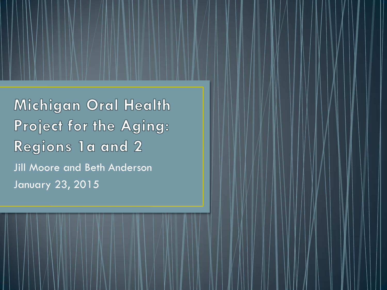Michigan Oral Health Project for the Aging: Regions 1a and 2 Jill Moore and Beth Anderson January 23, 2015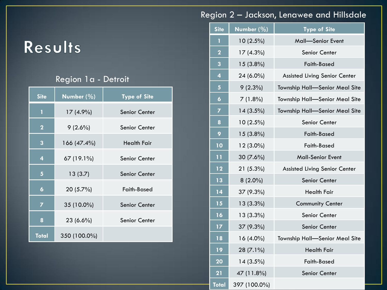# Results

#### Region 1a - Detroit

| <b>Site</b>         | Number $(\%)$ | <b>Type of Site</b> |
|---------------------|---------------|---------------------|
| 1                   | 17 (4.9%)     | Senior Center       |
| $\mathbf{2}$        | $9(2.6\%)$    | Senior Center       |
| 3                   | 166 (47.4%)   | <b>Health Fair</b>  |
| 4                   | 67 (19.1%)    | Senior Center       |
| 5                   | 13(3.7)       | Senior Center       |
| $\ddot{\mathbf{6}}$ | 20 (5.7%)     | Faith-Based         |
| $\overline{z}$      | 35 (10.0%)    | Senior Center       |
| 8                   | $23(6.6\%)$   | Senior Center       |
| <b>Total</b>        | 350 (100.0%)  |                     |

#### Region 2 – Jackson, Lenawee and Hillsdale

| <b>Site</b>             | Number $(\%)$ | <b>Type of Site</b>            |  |
|-------------------------|---------------|--------------------------------|--|
| 1                       | $10(2.5\%)$   | Mall-Senior Event              |  |
| $\overline{2}$          | 17 (4.3%)     | Senior Center                  |  |
| 3                       | $15(3.8\%)$   | <b>Faith-Based</b>             |  |
| $\overline{\mathbf{4}}$ | 24 (6.0%)     | Assisted Living Senior Center  |  |
| 5                       | $9(2.3\%)$    | Township Hall-Senior Meal Site |  |
| $\ddot{\mathbf{6}}$     | $7(1.8\%)$    | Township Hall-Senior Meal Site |  |
| 7                       | $14(3.5\%)$   | Township Hall-Senior Meal Site |  |
| 8                       | $10(2.5\%)$   | Senior Center                  |  |
| 9                       | $15(3.8\%)$   | <b>Faith-Based</b>             |  |
| 10                      | 12 (3.0%)     | <b>Faith-Based</b>             |  |
| 11                      | 30 (7.6%)     | <b>Mall-Senior Event</b>       |  |
| 12                      | 21 (5.3%)     | Assisted Living Senior Center  |  |
| 13                      | $8(2.0\%)$    | Senior Center                  |  |
| 14                      | 37 (9.3%)     | <b>Health Fair</b>             |  |
| 15                      | $13(3.3\%)$   | <b>Community Center</b>        |  |
| 16                      | 13 (3.3%)     | Senior Center                  |  |
| 17                      | 37 (9.3%)     | <b>Senior Center</b>           |  |
| 18                      | $16(4.0\%)$   | Township Hall-Senior Meal Site |  |
| 19                      | 28 (7.1%)     | <b>Health Fair</b>             |  |
| 20                      | $14(3.5\%)$   | Faith-Based                    |  |
| 21                      | 47 (11.8%)    | <b>Senior Center</b>           |  |
| <b>Total</b>            | 397 (100.0%)  |                                |  |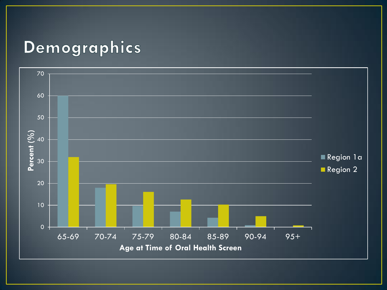## Demographics

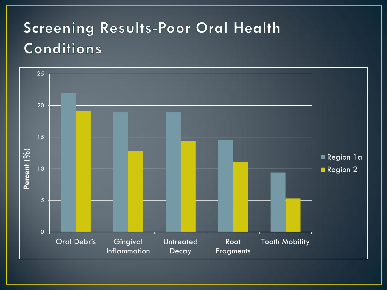# **Screening Results-Poor Oral Health** Conditions

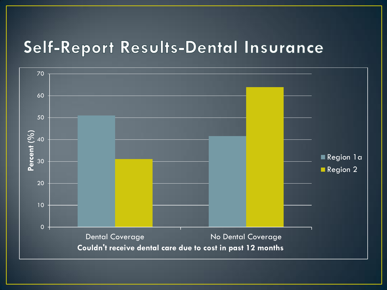# Self-Report Results-Dental Insurance

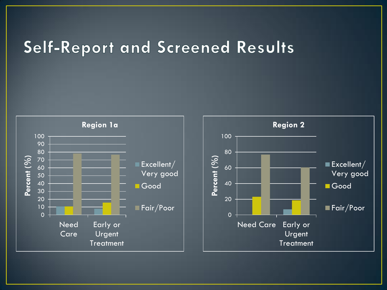### **Self-Report and Screened Results**